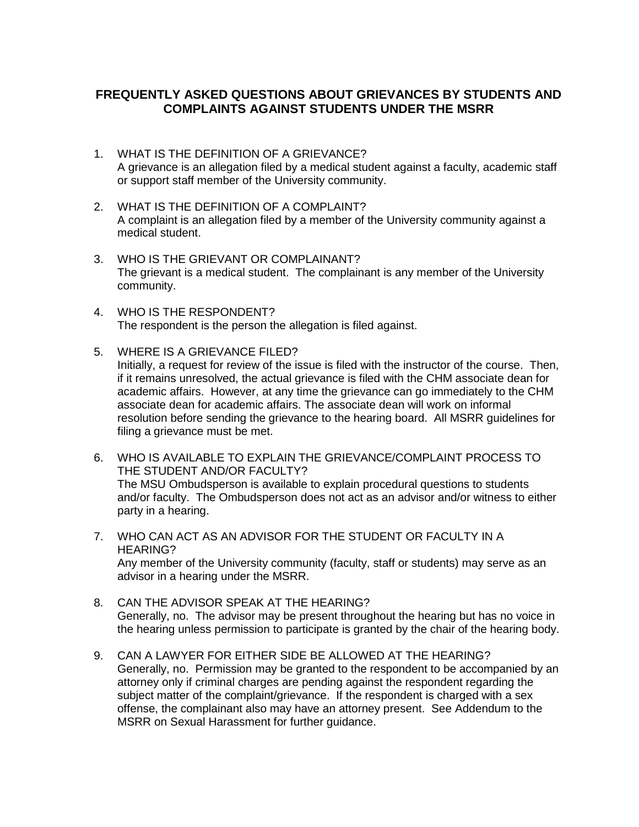## **FREQUENTLY ASKED QUESTIONS ABOUT GRIEVANCES BY STUDENTS AND COMPLAINTS AGAINST STUDENTS UNDER THE MSRR**

- 1. WHAT IS THE DEFINITION OF A GRIEVANCE? A grievance is an allegation filed by a medical student against a faculty, academic staff or support staff member of the University community.
- 2. WHAT IS THE DEFINITION OF A COMPLAINT? A complaint is an allegation filed by a member of the University community against a medical student.
- The grievant is a medical student. The complainant is any member of the University 3. WHO IS THE GRIEVANT OR COMPLAINANT? community.
- 4. WHO IS THE RESPONDENT? The respondent is the person the allegation is filed against.
- Initially, a request for review of the issue is filed with the instructor of the course. Then, if it remains unresolved, the actual grievance is filed with the CHM associate dean for academic affairs. However, at any time the grievance can go immediately to the CHM associate dean for academic affairs. The associate dean will work on informal resolution before sending the grievance to the hearing board. All MSRR guidelines for 5. WHERE IS A GRIEVANCE FILED? filing a grievance must be met.
- The MSU Ombudsperson is available to explain procedural questions to students and/or faculty. The Ombudsperson does not act as an advisor and/or witness to either 6. WHO IS AVAILABLE TO EXPLAIN THE GRIEVANCE/COMPLAINT PROCESS TO THE STUDENT AND/OR FACULTY? party in a hearing.
- advisor in a hearing under the MSRR. 7. WHO CAN ACT AS AN ADVISOR FOR THE STUDENT OR FACULTY IN A HEARING? Any member of the University community (faculty, staff or students) may serve as an
- Generally, no. The advisor may be present throughout the hearing but has no voice in 8. CAN THE ADVISOR SPEAK AT THE HEARING? the hearing unless permission to participate is granted by the chair of the hearing body.
- Generally, no. Permission may be granted to the respondent to be accompanied by an subject matter of the complaint/grievance. If the respondent is charged with a sex offense, the complainant also may have an attorney present. See Addendum to the MSRR on Sexual Harassment for further guidance. 9. CAN A LAWYER FOR EITHER SIDE BE ALLOWED AT THE HEARING? attorney only if criminal charges are pending against the respondent regarding the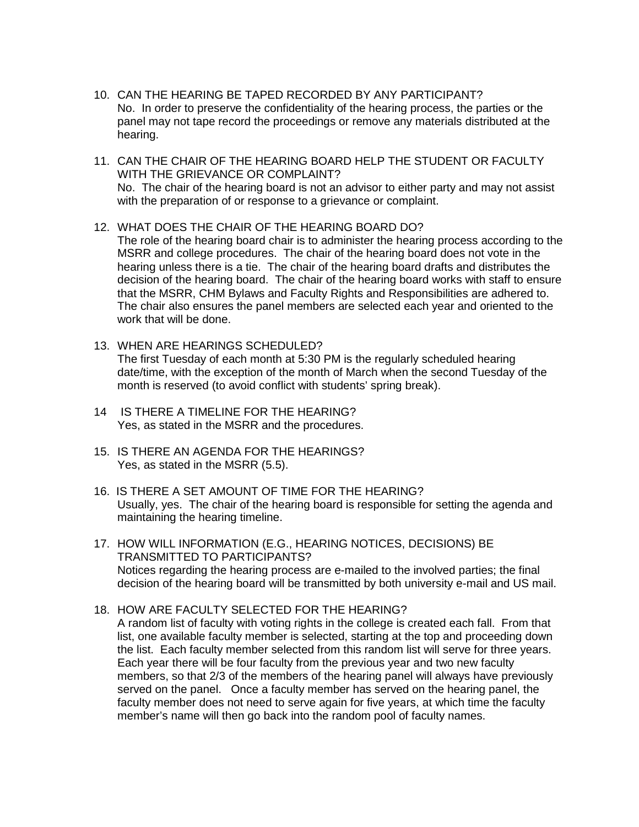- 10. CAN THE HEARING BE TAPED RECORDED BY ANY PARTICIPANT? No. In order to preserve the confidentiality of the hearing process, the parties or the hearing. panel may not tape record the proceedings or remove any materials distributed at the
- 11. CAN THE CHAIR OF THE HEARING BOARD HELP THE STUDENT OR FACULTY WITH THE GRIEVANCE OR COMPLAINT? No. The chair of the hearing board is not an advisor to either party and may not assist with the preparation of or response to a grievance or complaint.
- 12. WHAT DOES THE CHAIR OF THE HEARING BOARD DO?

 MSRR and college procedures. The chair of the hearing board does not vote in the hearing unless there is a tie. The chair of the hearing board drafts and distributes the decision of the hearing board. The chair of the hearing board works with staff to ensure The role of the hearing board chair is to administer the hearing process according to the that the MSRR, CHM Bylaws and Faculty Rights and Responsibilities are adhered to. The chair also ensures the panel members are selected each year and oriented to the work that will be done.

- 13. WHEN ARE HEARINGS SCHEDULED? The first Tuesday of each month at 5:30 PM is the regularly scheduled hearing date/time, with the exception of the month of March when the second Tuesday of the month is reserved (to avoid conflict with students' spring break).
- 14 IS THERE A TIMELINE FOR THE HEARING? Yes, as stated in the MSRR and the procedures.
- 15. IS THERE AN AGENDA FOR THE HEARINGS? Yes, as stated in the MSRR (5.5).
- Usually, yes. The chair of the hearing board is responsible for setting the agenda and maintaining the hearing timeline. 16. IS THERE A SET AMOUNT OF TIME FOR THE HEARING?
- decision of the hearing board will be transmitted by both university e-mail and US mail. 17. HOW WILL INFORMATION (E.G., HEARING NOTICES, DECISIONS) BE TRANSMITTED TO PARTICIPANTS? Notices regarding the hearing process are e-mailed to the involved parties; the final
- A random list of faculty with voting rights in the college is created each fall. From that the list. Each faculty member selected from this random list will serve for three years. the list. Each faculty member selected from this random list will serve for three years. <br>Each year there will be four faculty from the previous year and two new faculty served on the panel. Once a faculty member has served on the hearing panel, the faculty member does not need to serve again for five years, at which time the faculty 18. HOW ARE FACULTY SELECTED FOR THE HEARING? list, one available faculty member is selected, starting at the top and proceeding down members, so that 2/3 of the members of the hearing panel will always have previously member's name will then go back into the random pool of faculty names.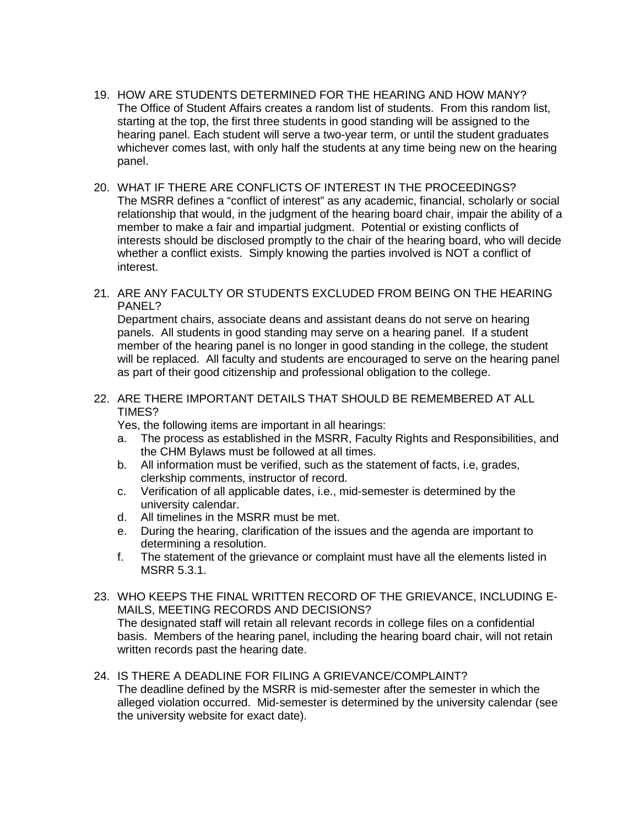- starting at the top, the first three students in good standing will be assigned to the hearing panel. Each student will serve a two-year term, or until the student graduates 19. HOW ARE STUDENTS DETERMINED FOR THE HEARING AND HOW MANY? The Office of Student Affairs creates a random list of students. From this random list, whichever comes last, with only half the students at any time being new on the hearing panel.
- The MSRR defines a "conflict of interest" as any academic, financial, scholarly or social 20. WHAT IF THERE ARE CONFLICTS OF INTEREST IN THE PROCEEDINGS? relationship that would, in the judgment of the hearing board chair, impair the ability of a member to make a fair and impartial judgment. Potential or existing conflicts of interests should be disclosed promptly to the chair of the hearing board, who will decide whether a conflict exists. Simply knowing the parties involved is NOT a conflict of interest.
- 21. ARE ANY FACULTY OR STUDENTS EXCLUDED FROM BEING ON THE HEARING PANEL?

 panels. All students in good standing may serve on a hearing panel. If a student will be replaced. All faculty and students are encouraged to serve on the hearing panel as part of their good citizenship and professional obligation to the college. Department chairs, associate deans and assistant deans do not serve on hearing member of the hearing panel is no longer in good standing in the college, the student

22. ARE THERE IMPORTANT DETAILS THAT SHOULD BE REMEMBERED AT ALL TIMES?

Yes, the following items are important in all hearings:

- a. The process as established in the MSRR, Faculty Rights and Responsibilities, and the CHM Bylaws must be followed at all times.
- b. All information must be verified, such as the statement of facts, i.e, grades, clerkship comments, instructor of record.
- university calendar. c. Verification of all applicable dates, i.e., mid-semester is determined by the
- d. All timelines in the MSRR must be met.
- e. During the hearing, clarification of the issues and the agenda are important to determining a resolution.
- f. The statement of the grievance or complaint must have all the elements listed in MSRR 5.3.1.
- 23. WHO KEEPS THE FINAL WRITTEN RECORD OF THE GRIEVANCE, INCLUDING E-MAILS, MEETING RECORDS AND DECISIONS? The designated staff will retain all relevant records in college files on a confidential basis. Members of the hearing panel, including the hearing board chair, will not retain written records past the hearing date.
- alleged violation occurred. Mid-semester is determined by the university calendar (see 24. IS THERE A DEADLINE FOR FILING A GRIEVANCE/COMPLAINT? The deadline defined by the MSRR is mid-semester after the semester in which the the university website for exact date).